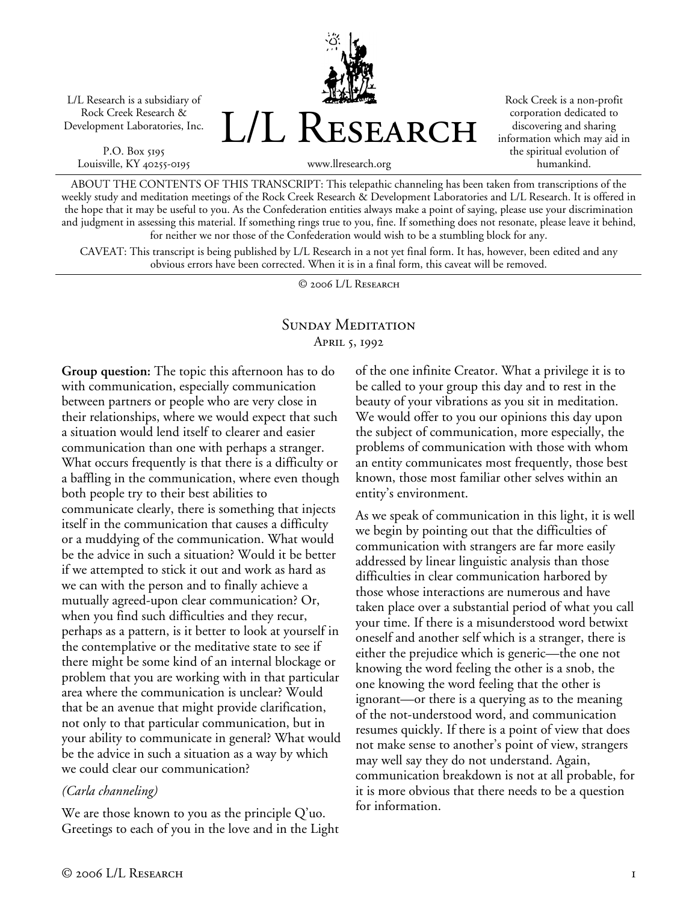L/L Research is a subsidiary of Rock Creek Research & Development Laboratories, Inc.

P.O. Box 5195 Louisville, KY 40255-0195



Rock Creek is a non-profit corporation dedicated to discovering and sharing information which may aid in the spiritual evolution of humankind.

ABOUT THE CONTENTS OF THIS TRANSCRIPT: This telepathic channeling has been taken from transcriptions of the

weekly study and meditation meetings of the Rock Creek Research & Development Laboratories and L/L Research. It is offered in the hope that it may be useful to you. As the Confederation entities always make a point of saying, please use your discrimination and judgment in assessing this material. If something rings true to you, fine. If something does not resonate, please leave it behind, for neither we nor those of the Confederation would wish to be a stumbling block for any.

CAVEAT: This transcript is being published by L/L Research in a not yet final form. It has, however, been edited and any obvious errors have been corrected. When it is in a final form, this caveat will be removed.

© 2006 L/L Research

## SUNDAY MEDITATION April 5, 1992

**Group question:** The topic this afternoon has to do with communication, especially communication between partners or people who are very close in their relationships, where we would expect that such a situation would lend itself to clearer and easier communication than one with perhaps a stranger. What occurs frequently is that there is a difficulty or a baffling in the communication, where even though both people try to their best abilities to communicate clearly, there is something that injects itself in the communication that causes a difficulty or a muddying of the communication. What would be the advice in such a situation? Would it be better if we attempted to stick it out and work as hard as we can with the person and to finally achieve a mutually agreed-upon clear communication? Or, when you find such difficulties and they recur, perhaps as a pattern, is it better to look at yourself in the contemplative or the meditative state to see if there might be some kind of an internal blockage or problem that you are working with in that particular area where the communication is unclear? Would that be an avenue that might provide clarification, not only to that particular communication, but in your ability to communicate in general? What would be the advice in such a situation as a way by which we could clear our communication?

## *(Carla channeling)*

We are those known to you as the principle Q'uo. Greetings to each of you in the love and in the Light of the one infinite Creator. What a privilege it is to be called to your group this day and to rest in the beauty of your vibrations as you sit in meditation. We would offer to you our opinions this day upon the subject of communication, more especially, the problems of communication with those with whom an entity communicates most frequently, those best known, those most familiar other selves within an entity's environment.

As we speak of communication in this light, it is well we begin by pointing out that the difficulties of communication with strangers are far more easily addressed by linear linguistic analysis than those difficulties in clear communication harbored by those whose interactions are numerous and have taken place over a substantial period of what you call your time. If there is a misunderstood word betwixt oneself and another self which is a stranger, there is either the prejudice which is generic—the one not knowing the word feeling the other is a snob, the one knowing the word feeling that the other is ignorant—or there is a querying as to the meaning of the not-understood word, and communication resumes quickly. If there is a point of view that does not make sense to another's point of view, strangers may well say they do not understand. Again, communication breakdown is not at all probable, for it is more obvious that there needs to be a question for information.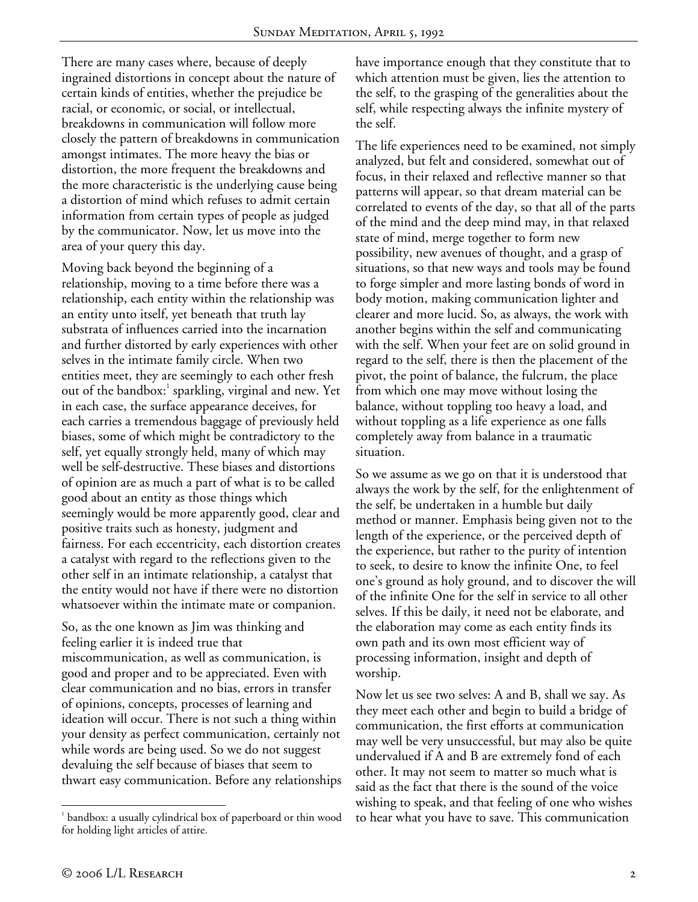There are many cases where, because of deeply ingrained distortions in concept about the nature of certain kinds of entities, whether the prejudice be racial, or economic, or social, or intellectual, breakdowns in communication will follow more closely the pattern of breakdowns in communication amongst intimates. The more heavy the bias or distortion, the more frequent the breakdowns and the more characteristic is the underlying cause being a distortion of mind which refuses to admit certain information from certain types of people as judged by the communicator. Now, let us move into the area of your query this day.

Moving back beyond the beginning of a relationship, moving to a time before there was a relationship, each entity within the relationship was an entity unto itself, yet beneath that truth lay substrata of influences carried into the incarnation and further distorted by early experiences with other selves in the intimate family circle. When two entities meet, they are seemingly to each other fresh out of the bandbox:<sup>1</sup> sparkling, virginal and new. Yet in each case, the surface appearance deceives, for each carries a tremendous baggage of previously held biases, some of which might be contradictory to the self, yet equally strongly held, many of which may well be self-destructive. These biases and distortions of opinion are as much a part of what is to be called good about an entity as those things which seemingly would be more apparently good, clear and positive traits such as honesty, judgment and fairness. For each eccentricity, each distortion creates a catalyst with regard to the reflections given to the other self in an intimate relationship, a catalyst that the entity would not have if there were no distortion whatsoever within the intimate mate or companion.

So, as the one known as Jim was thinking and feeling earlier it is indeed true that miscommunication, as well as communication, is good and proper and to be appreciated. Even with clear communication and no bias, errors in transfer of opinions, concepts, processes of learning and ideation will occur. There is not such a thing within your density as perfect communication, certainly not while words are being used. So we do not suggest devaluing the self because of biases that seem to thwart easy communication. Before any relationships have importance enough that they constitute that to which attention must be given, lies the attention to the self, to the grasping of the generalities about the self, while respecting always the infinite mystery of the self.

The life experiences need to be examined, not simply analyzed, but felt and considered, somewhat out of focus, in their relaxed and reflective manner so that patterns will appear, so that dream material can be correlated to events of the day, so that all of the parts of the mind and the deep mind may, in that relaxed state of mind, merge together to form new possibility, new avenues of thought, and a grasp of situations, so that new ways and tools may be found to forge simpler and more lasting bonds of word in body motion, making communication lighter and clearer and more lucid. So, as always, the work with another begins within the self and communicating with the self. When your feet are on solid ground in regard to the self, there is then the placement of the pivot, the point of balance, the fulcrum, the place from which one may move without losing the balance, without toppling too heavy a load, and without toppling as a life experience as one falls completely away from balance in a traumatic situation.

So we assume as we go on that it is understood that always the work by the self, for the enlightenment of the self, be undertaken in a humble but daily method or manner. Emphasis being given not to the length of the experience, or the perceived depth of the experience, but rather to the purity of intention to seek, to desire to know the infinite One, to feel one's ground as holy ground, and to discover the will of the infinite One for the self in service to all other selves. If this be daily, it need not be elaborate, and the elaboration may come as each entity finds its own path and its own most efficient way of processing information, insight and depth of worship.

Now let us see two selves: A and B, shall we say. As they meet each other and begin to build a bridge of communication, the first efforts at communication may well be very unsuccessful, but may also be quite undervalued if A and B are extremely fond of each other. It may not seem to matter so much what is said as the fact that there is the sound of the voice wishing to speak, and that feeling of one who wishes to hear what you have to save. This communication

 $\overline{a}$ 

<sup>&</sup>lt;sup>1</sup> bandbox: a usually cylindrical box of paperboard or thin wood for holding light articles of attire.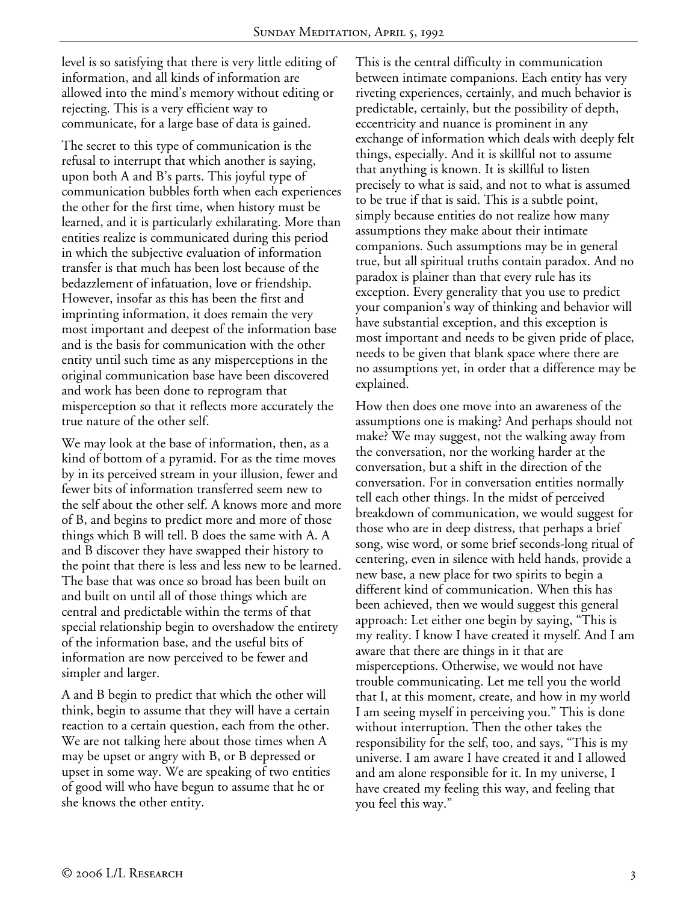level is so satisfying that there is very little editing of information, and all kinds of information are allowed into the mind's memory without editing or rejecting. This is a very efficient way to communicate, for a large base of data is gained.

The secret to this type of communication is the refusal to interrupt that which another is saying, upon both A and B's parts. This joyful type of communication bubbles forth when each experiences the other for the first time, when history must be learned, and it is particularly exhilarating. More than entities realize is communicated during this period in which the subjective evaluation of information transfer is that much has been lost because of the bedazzlement of infatuation, love or friendship. However, insofar as this has been the first and imprinting information, it does remain the very most important and deepest of the information base and is the basis for communication with the other entity until such time as any misperceptions in the original communication base have been discovered and work has been done to reprogram that misperception so that it reflects more accurately the true nature of the other self.

We may look at the base of information, then, as a kind of bottom of a pyramid. For as the time moves by in its perceived stream in your illusion, fewer and fewer bits of information transferred seem new to the self about the other self. A knows more and more of B, and begins to predict more and more of those things which B will tell. B does the same with A. A and B discover they have swapped their history to the point that there is less and less new to be learned. The base that was once so broad has been built on and built on until all of those things which are central and predictable within the terms of that special relationship begin to overshadow the entirety of the information base, and the useful bits of information are now perceived to be fewer and simpler and larger.

A and B begin to predict that which the other will think, begin to assume that they will have a certain reaction to a certain question, each from the other. We are not talking here about those times when A may be upset or angry with B, or B depressed or upset in some way. We are speaking of two entities of good will who have begun to assume that he or she knows the other entity.

This is the central difficulty in communication between intimate companions. Each entity has very riveting experiences, certainly, and much behavior is predictable, certainly, but the possibility of depth, eccentricity and nuance is prominent in any exchange of information which deals with deeply felt things, especially. And it is skillful not to assume that anything is known. It is skillful to listen precisely to what is said, and not to what is assumed to be true if that is said. This is a subtle point, simply because entities do not realize how many assumptions they make about their intimate companions. Such assumptions may be in general true, but all spiritual truths contain paradox. And no paradox is plainer than that every rule has its exception. Every generality that you use to predict your companion's way of thinking and behavior will have substantial exception, and this exception is most important and needs to be given pride of place, needs to be given that blank space where there are no assumptions yet, in order that a difference may be explained.

How then does one move into an awareness of the assumptions one is making? And perhaps should not make? We may suggest, not the walking away from the conversation, nor the working harder at the conversation, but a shift in the direction of the conversation. For in conversation entities normally tell each other things. In the midst of perceived breakdown of communication, we would suggest for those who are in deep distress, that perhaps a brief song, wise word, or some brief seconds-long ritual of centering, even in silence with held hands, provide a new base, a new place for two spirits to begin a different kind of communication. When this has been achieved, then we would suggest this general approach: Let either one begin by saying, "This is my reality. I know I have created it myself. And I am aware that there are things in it that are misperceptions. Otherwise, we would not have trouble communicating. Let me tell you the world that I, at this moment, create, and how in my world I am seeing myself in perceiving you." This is done without interruption. Then the other takes the responsibility for the self, too, and says, "This is my universe. I am aware I have created it and I allowed and am alone responsible for it. In my universe, I have created my feeling this way, and feeling that you feel this way."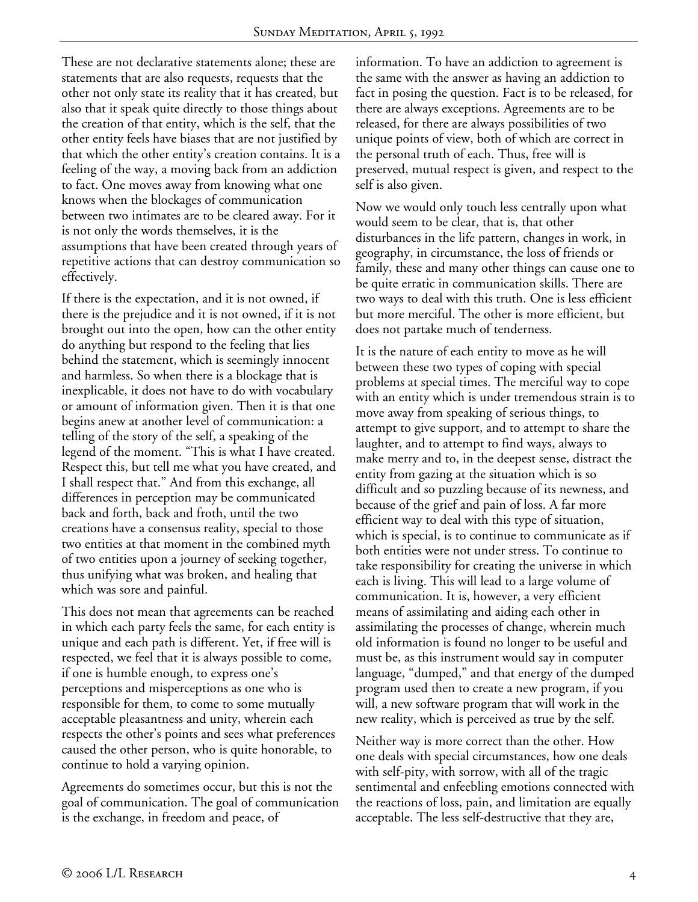These are not declarative statements alone; these are statements that are also requests, requests that the other not only state its reality that it has created, but also that it speak quite directly to those things about the creation of that entity, which is the self, that the other entity feels have biases that are not justified by that which the other entity's creation contains. It is a feeling of the way, a moving back from an addiction to fact. One moves away from knowing what one knows when the blockages of communication between two intimates are to be cleared away. For it is not only the words themselves, it is the assumptions that have been created through years of repetitive actions that can destroy communication so effectively.

If there is the expectation, and it is not owned, if there is the prejudice and it is not owned, if it is not brought out into the open, how can the other entity do anything but respond to the feeling that lies behind the statement, which is seemingly innocent and harmless. So when there is a blockage that is inexplicable, it does not have to do with vocabulary or amount of information given. Then it is that one begins anew at another level of communication: a telling of the story of the self, a speaking of the legend of the moment. "This is what I have created. Respect this, but tell me what you have created, and I shall respect that." And from this exchange, all differences in perception may be communicated back and forth, back and froth, until the two creations have a consensus reality, special to those two entities at that moment in the combined myth of two entities upon a journey of seeking together, thus unifying what was broken, and healing that which was sore and painful.

This does not mean that agreements can be reached in which each party feels the same, for each entity is unique and each path is different. Yet, if free will is respected, we feel that it is always possible to come, if one is humble enough, to express one's perceptions and misperceptions as one who is responsible for them, to come to some mutually acceptable pleasantness and unity, wherein each respects the other's points and sees what preferences caused the other person, who is quite honorable, to continue to hold a varying opinion.

Agreements do sometimes occur, but this is not the goal of communication. The goal of communication is the exchange, in freedom and peace, of

information. To have an addiction to agreement is the same with the answer as having an addiction to fact in posing the question. Fact is to be released, for there are always exceptions. Agreements are to be released, for there are always possibilities of two unique points of view, both of which are correct in the personal truth of each. Thus, free will is preserved, mutual respect is given, and respect to the self is also given.

Now we would only touch less centrally upon what would seem to be clear, that is, that other disturbances in the life pattern, changes in work, in geography, in circumstance, the loss of friends or family, these and many other things can cause one to be quite erratic in communication skills. There are two ways to deal with this truth. One is less efficient but more merciful. The other is more efficient, but does not partake much of tenderness.

It is the nature of each entity to move as he will between these two types of coping with special problems at special times. The merciful way to cope with an entity which is under tremendous strain is to move away from speaking of serious things, to attempt to give support, and to attempt to share the laughter, and to attempt to find ways, always to make merry and to, in the deepest sense, distract the entity from gazing at the situation which is so difficult and so puzzling because of its newness, and because of the grief and pain of loss. A far more efficient way to deal with this type of situation, which is special, is to continue to communicate as if both entities were not under stress. To continue to take responsibility for creating the universe in which each is living. This will lead to a large volume of communication. It is, however, a very efficient means of assimilating and aiding each other in assimilating the processes of change, wherein much old information is found no longer to be useful and must be, as this instrument would say in computer language, "dumped," and that energy of the dumped program used then to create a new program, if you will, a new software program that will work in the new reality, which is perceived as true by the self.

Neither way is more correct than the other. How one deals with special circumstances, how one deals with self-pity, with sorrow, with all of the tragic sentimental and enfeebling emotions connected with the reactions of loss, pain, and limitation are equally acceptable. The less self-destructive that they are,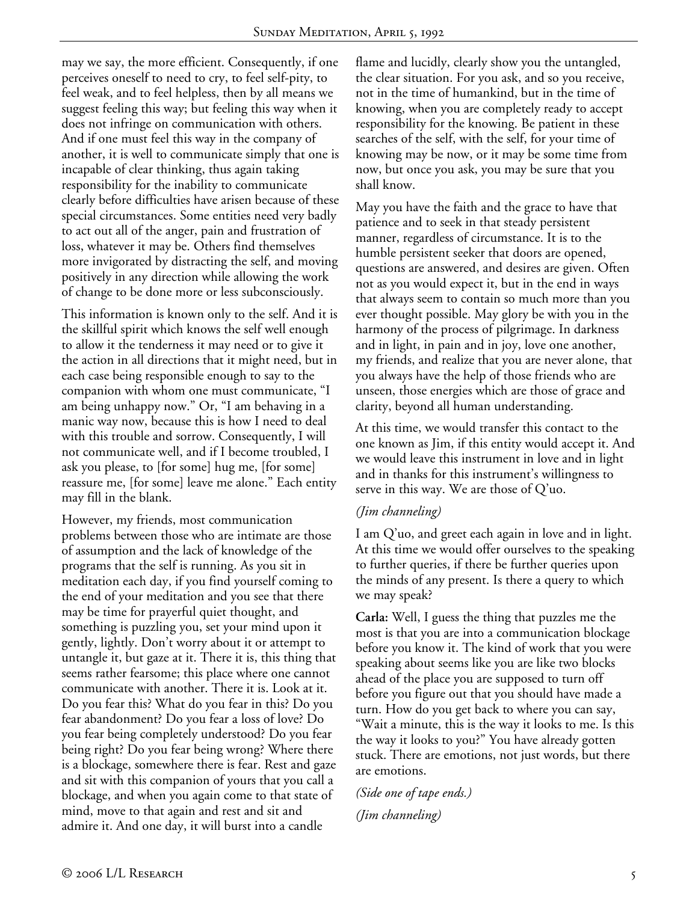may we say, the more efficient. Consequently, if one perceives oneself to need to cry, to feel self-pity, to feel weak, and to feel helpless, then by all means we suggest feeling this way; but feeling this way when it does not infringe on communication with others. And if one must feel this way in the company of another, it is well to communicate simply that one is incapable of clear thinking, thus again taking responsibility for the inability to communicate clearly before difficulties have arisen because of these special circumstances. Some entities need very badly to act out all of the anger, pain and frustration of loss, whatever it may be. Others find themselves more invigorated by distracting the self, and moving positively in any direction while allowing the work of change to be done more or less subconsciously.

This information is known only to the self. And it is the skillful spirit which knows the self well enough to allow it the tenderness it may need or to give it the action in all directions that it might need, but in each case being responsible enough to say to the companion with whom one must communicate, "I am being unhappy now." Or, "I am behaving in a manic way now, because this is how I need to deal with this trouble and sorrow. Consequently, I will not communicate well, and if I become troubled, I ask you please, to [for some] hug me, [for some] reassure me, [for some] leave me alone." Each entity may fill in the blank.

However, my friends, most communication problems between those who are intimate are those of assumption and the lack of knowledge of the programs that the self is running. As you sit in meditation each day, if you find yourself coming to the end of your meditation and you see that there may be time for prayerful quiet thought, and something is puzzling you, set your mind upon it gently, lightly. Don't worry about it or attempt to untangle it, but gaze at it. There it is, this thing that seems rather fearsome; this place where one cannot communicate with another. There it is. Look at it. Do you fear this? What do you fear in this? Do you fear abandonment? Do you fear a loss of love? Do you fear being completely understood? Do you fear being right? Do you fear being wrong? Where there is a blockage, somewhere there is fear. Rest and gaze and sit with this companion of yours that you call a blockage, and when you again come to that state of mind, move to that again and rest and sit and admire it. And one day, it will burst into a candle

flame and lucidly, clearly show you the untangled, the clear situation. For you ask, and so you receive, not in the time of humankind, but in the time of knowing, when you are completely ready to accept responsibility for the knowing. Be patient in these searches of the self, with the self, for your time of knowing may be now, or it may be some time from now, but once you ask, you may be sure that you shall know.

May you have the faith and the grace to have that patience and to seek in that steady persistent manner, regardless of circumstance. It is to the humble persistent seeker that doors are opened, questions are answered, and desires are given. Often not as you would expect it, but in the end in ways that always seem to contain so much more than you ever thought possible. May glory be with you in the harmony of the process of pilgrimage. In darkness and in light, in pain and in joy, love one another, my friends, and realize that you are never alone, that you always have the help of those friends who are unseen, those energies which are those of grace and clarity, beyond all human understanding.

At this time, we would transfer this contact to the one known as Jim, if this entity would accept it. And we would leave this instrument in love and in light and in thanks for this instrument's willingness to serve in this way. We are those of Q'uo.

## *(Jim channeling)*

I am Q'uo, and greet each again in love and in light. At this time we would offer ourselves to the speaking to further queries, if there be further queries upon the minds of any present. Is there a query to which we may speak?

**Carla:** Well, I guess the thing that puzzles me the most is that you are into a communication blockage before you know it. The kind of work that you were speaking about seems like you are like two blocks ahead of the place you are supposed to turn off before you figure out that you should have made a turn. How do you get back to where you can say, "Wait a minute, this is the way it looks to me. Is this the way it looks to you?" You have already gotten stuck. There are emotions, not just words, but there are emotions.

*(Side one of tape ends.) (Jim channeling)*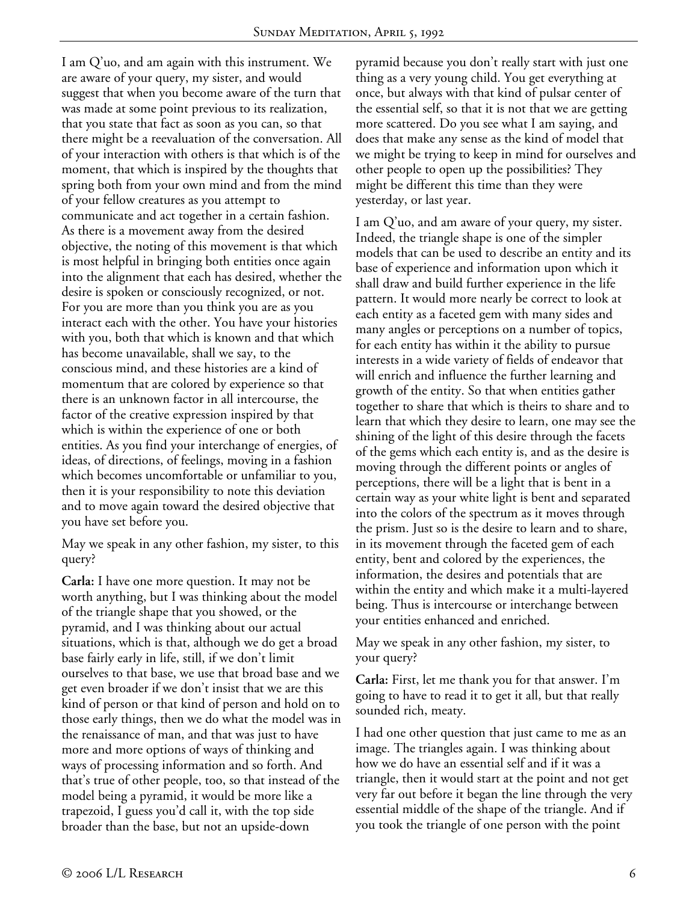I am Q'uo, and am again with this instrument. We are aware of your query, my sister, and would suggest that when you become aware of the turn that was made at some point previous to its realization, that you state that fact as soon as you can, so that there might be a reevaluation of the conversation. All of your interaction with others is that which is of the moment, that which is inspired by the thoughts that spring both from your own mind and from the mind of your fellow creatures as you attempt to communicate and act together in a certain fashion. As there is a movement away from the desired objective, the noting of this movement is that which is most helpful in bringing both entities once again into the alignment that each has desired, whether the desire is spoken or consciously recognized, or not. For you are more than you think you are as you interact each with the other. You have your histories with you, both that which is known and that which has become unavailable, shall we say, to the conscious mind, and these histories are a kind of momentum that are colored by experience so that there is an unknown factor in all intercourse, the factor of the creative expression inspired by that which is within the experience of one or both entities. As you find your interchange of energies, of ideas, of directions, of feelings, moving in a fashion which becomes uncomfortable or unfamiliar to you, then it is your responsibility to note this deviation and to move again toward the desired objective that you have set before you.

May we speak in any other fashion, my sister, to this query?

**Carla:** I have one more question. It may not be worth anything, but I was thinking about the model of the triangle shape that you showed, or the pyramid, and I was thinking about our actual situations, which is that, although we do get a broad base fairly early in life, still, if we don't limit ourselves to that base, we use that broad base and we get even broader if we don't insist that we are this kind of person or that kind of person and hold on to those early things, then we do what the model was in the renaissance of man, and that was just to have more and more options of ways of thinking and ways of processing information and so forth. And that's true of other people, too, so that instead of the model being a pyramid, it would be more like a trapezoid, I guess you'd call it, with the top side broader than the base, but not an upside-down

pyramid because you don't really start with just one thing as a very young child. You get everything at once, but always with that kind of pulsar center of the essential self, so that it is not that we are getting more scattered. Do you see what I am saying, and does that make any sense as the kind of model that we might be trying to keep in mind for ourselves and other people to open up the possibilities? They might be different this time than they were yesterday, or last year.

I am Q'uo, and am aware of your query, my sister. Indeed, the triangle shape is one of the simpler models that can be used to describe an entity and its base of experience and information upon which it shall draw and build further experience in the life pattern. It would more nearly be correct to look at each entity as a faceted gem with many sides and many angles or perceptions on a number of topics, for each entity has within it the ability to pursue interests in a wide variety of fields of endeavor that will enrich and influence the further learning and growth of the entity. So that when entities gather together to share that which is theirs to share and to learn that which they desire to learn, one may see the shining of the light of this desire through the facets of the gems which each entity is, and as the desire is moving through the different points or angles of perceptions, there will be a light that is bent in a certain way as your white light is bent and separated into the colors of the spectrum as it moves through the prism. Just so is the desire to learn and to share, in its movement through the faceted gem of each entity, bent and colored by the experiences, the information, the desires and potentials that are within the entity and which make it a multi-layered being. Thus is intercourse or interchange between your entities enhanced and enriched.

May we speak in any other fashion, my sister, to your query?

**Carla:** First, let me thank you for that answer. I'm going to have to read it to get it all, but that really sounded rich, meaty.

I had one other question that just came to me as an image. The triangles again. I was thinking about how we do have an essential self and if it was a triangle, then it would start at the point and not get very far out before it began the line through the very essential middle of the shape of the triangle. And if you took the triangle of one person with the point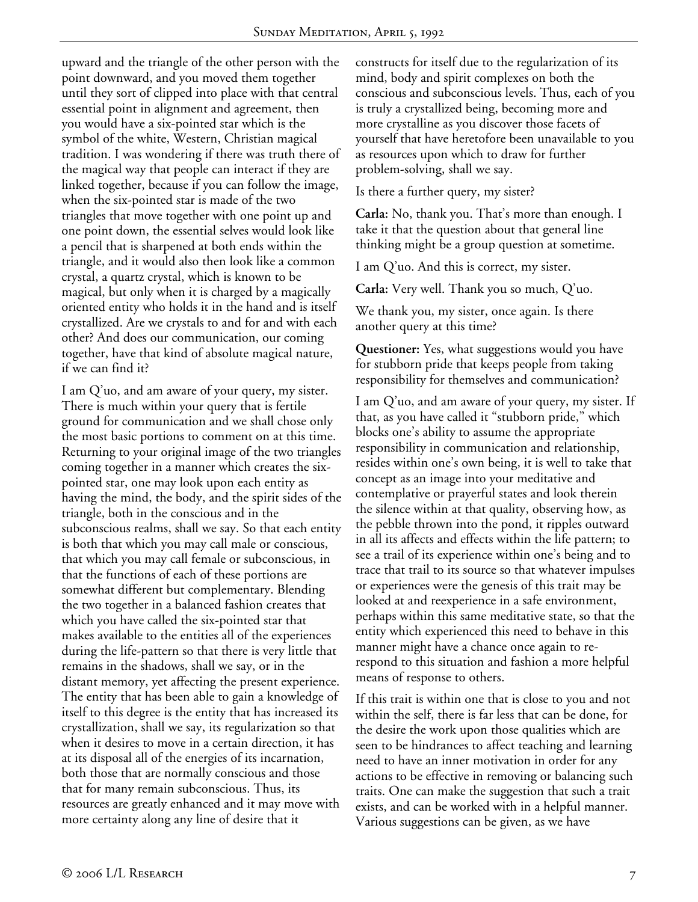upward and the triangle of the other person with the point downward, and you moved them together until they sort of clipped into place with that central essential point in alignment and agreement, then you would have a six-pointed star which is the symbol of the white, Western, Christian magical tradition. I was wondering if there was truth there of the magical way that people can interact if they are linked together, because if you can follow the image, when the six-pointed star is made of the two triangles that move together with one point up and one point down, the essential selves would look like a pencil that is sharpened at both ends within the triangle, and it would also then look like a common crystal, a quartz crystal, which is known to be magical, but only when it is charged by a magically oriented entity who holds it in the hand and is itself crystallized. Are we crystals to and for and with each other? And does our communication, our coming together, have that kind of absolute magical nature, if we can find it?

I am Q'uo, and am aware of your query, my sister. There is much within your query that is fertile ground for communication and we shall chose only the most basic portions to comment on at this time. Returning to your original image of the two triangles coming together in a manner which creates the sixpointed star, one may look upon each entity as having the mind, the body, and the spirit sides of the triangle, both in the conscious and in the subconscious realms, shall we say. So that each entity is both that which you may call male or conscious, that which you may call female or subconscious, in that the functions of each of these portions are somewhat different but complementary. Blending the two together in a balanced fashion creates that which you have called the six-pointed star that makes available to the entities all of the experiences during the life-pattern so that there is very little that remains in the shadows, shall we say, or in the distant memory, yet affecting the present experience. The entity that has been able to gain a knowledge of itself to this degree is the entity that has increased its crystallization, shall we say, its regularization so that when it desires to move in a certain direction, it has at its disposal all of the energies of its incarnation, both those that are normally conscious and those that for many remain subconscious. Thus, its resources are greatly enhanced and it may move with more certainty along any line of desire that it

constructs for itself due to the regularization of its mind, body and spirit complexes on both the conscious and subconscious levels. Thus, each of you is truly a crystallized being, becoming more and more crystalline as you discover those facets of yourself that have heretofore been unavailable to you as resources upon which to draw for further problem-solving, shall we say.

Is there a further query, my sister?

**Carla:** No, thank you. That's more than enough. I take it that the question about that general line thinking might be a group question at sometime.

I am Q'uo. And this is correct, my sister.

**Carla:** Very well. Thank you so much, Q'uo.

We thank you, my sister, once again. Is there another query at this time?

**Questioner:** Yes, what suggestions would you have for stubborn pride that keeps people from taking responsibility for themselves and communication?

I am Q'uo, and am aware of your query, my sister. If that, as you have called it "stubborn pride," which blocks one's ability to assume the appropriate responsibility in communication and relationship, resides within one's own being, it is well to take that concept as an image into your meditative and contemplative or prayerful states and look therein the silence within at that quality, observing how, as the pebble thrown into the pond, it ripples outward in all its affects and effects within the life pattern; to see a trail of its experience within one's being and to trace that trail to its source so that whatever impulses or experiences were the genesis of this trait may be looked at and reexperience in a safe environment, perhaps within this same meditative state, so that the entity which experienced this need to behave in this manner might have a chance once again to rerespond to this situation and fashion a more helpful means of response to others.

If this trait is within one that is close to you and not within the self, there is far less that can be done, for the desire the work upon those qualities which are seen to be hindrances to affect teaching and learning need to have an inner motivation in order for any actions to be effective in removing or balancing such traits. One can make the suggestion that such a trait exists, and can be worked with in a helpful manner. Various suggestions can be given, as we have